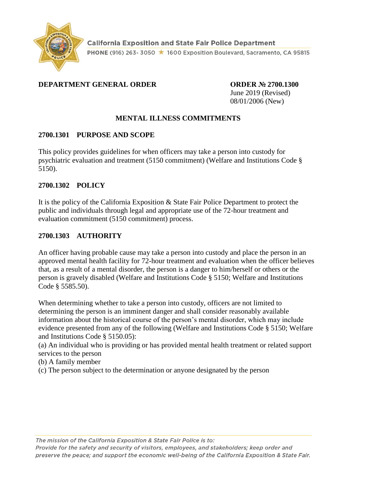

#### **DEPARTMENT GENERAL ORDER ORDER № 2700.1300**

June 2019 (Revised) 08/01/2006 (New)

# **MENTAL ILLNESS COMMITMENTS**

#### **2700.1301 PURPOSE AND SCOPE**

This policy provides guidelines for when officers may take a person into custody for psychiatric evaluation and treatment (5150 commitment) (Welfare and Institutions Code § 5150).

#### **2700.1302 POLICY**

It is the policy of the California Exposition & State Fair Police Department to protect the public and individuals through legal and appropriate use of the 72-hour treatment and evaluation commitment (5150 commitment) process.

#### **2700.1303 AUTHORITY**

An officer having probable cause may take a person into custody and place the person in an approved mental health facility for 72-hour treatment and evaluation when the officer believes that, as a result of a mental disorder, the person is a danger to him/herself or others or the person is gravely disabled (Welfare and Institutions Code § 5150; Welfare and Institutions Code § 5585.50).

When determining whether to take a person into custody, officers are not limited to determining the person is an imminent danger and shall consider reasonably available information about the historical course of the person's mental disorder, which may include evidence presented from any of the following (Welfare and Institutions Code § 5150; Welfare and Institutions Code § 5150.05):

(a) An individual who is providing or has provided mental health treatment or related support services to the person

(b) A family member

(c) The person subject to the determination or anyone designated by the person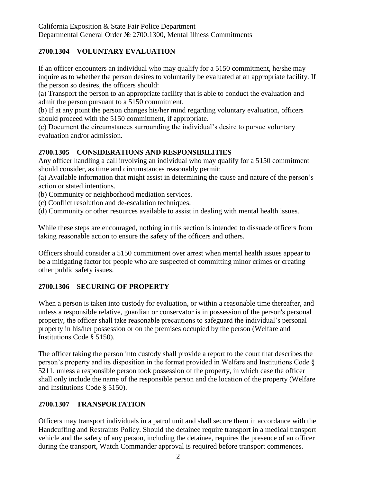# **2700.1304 VOLUNTARY EVALUATION**

If an officer encounters an individual who may qualify for a 5150 commitment, he/she may inquire as to whether the person desires to voluntarily be evaluated at an appropriate facility. If the person so desires, the officers should:

(a) Transport the person to an appropriate facility that is able to conduct the evaluation and admit the person pursuant to a 5150 commitment.

(b) If at any point the person changes his/her mind regarding voluntary evaluation, officers should proceed with the 5150 commitment, if appropriate.

(c) Document the circumstances surrounding the individual's desire to pursue voluntary evaluation and/or admission.

# **2700.1305 CONSIDERATIONS AND RESPONSIBILITIES**

Any officer handling a call involving an individual who may qualify for a 5150 commitment should consider, as time and circumstances reasonably permit:

(a) Available information that might assist in determining the cause and nature of the person's action or stated intentions.

(b) Community or neighborhood mediation services.

(c) Conflict resolution and de-escalation techniques.

(d) Community or other resources available to assist in dealing with mental health issues.

While these steps are encouraged, nothing in this section is intended to dissuade officers from taking reasonable action to ensure the safety of the officers and others.

Officers should consider a 5150 commitment over arrest when mental health issues appear to be a mitigating factor for people who are suspected of committing minor crimes or creating other public safety issues.

# **2700.1306 SECURING OF PROPERTY**

When a person is taken into custody for evaluation, or within a reasonable time thereafter, and unless a responsible relative, guardian or conservator is in possession of the person's personal property, the officer shall take reasonable precautions to safeguard the individual's personal property in his/her possession or on the premises occupied by the person (Welfare and Institutions Code § 5150).

The officer taking the person into custody shall provide a report to the court that describes the person's property and its disposition in the format provided in Welfare and Institutions Code § 5211, unless a responsible person took possession of the property, in which case the officer shall only include the name of the responsible person and the location of the property (Welfare and Institutions Code § 5150).

# **2700.1307 TRANSPORTATION**

Officers may transport individuals in a patrol unit and shall secure them in accordance with the Handcuffing and Restraints Policy. Should the detainee require transport in a medical transport vehicle and the safety of any person, including the detainee, requires the presence of an officer during the transport, Watch Commander approval is required before transport commences.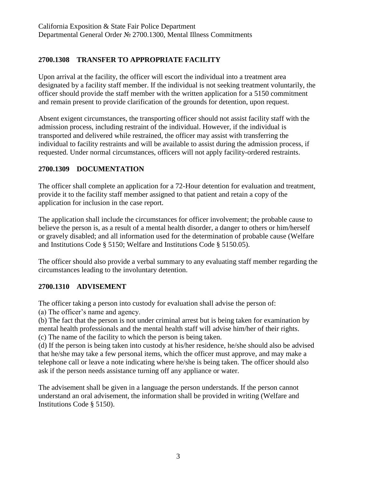# **2700.1308 TRANSFER TO APPROPRIATE FACILITY**

Upon arrival at the facility, the officer will escort the individual into a treatment area designated by a facility staff member. If the individual is not seeking treatment voluntarily, the officer should provide the staff member with the written application for a 5150 commitment and remain present to provide clarification of the grounds for detention, upon request.

Absent exigent circumstances, the transporting officer should not assist facility staff with the admission process, including restraint of the individual. However, if the individual is transported and delivered while restrained, the officer may assist with transferring the individual to facility restraints and will be available to assist during the admission process, if requested. Under normal circumstances, officers will not apply facility-ordered restraints.

# **2700.1309 DOCUMENTATION**

The officer shall complete an application for a 72-Hour detention for evaluation and treatment, provide it to the facility staff member assigned to that patient and retain a copy of the application for inclusion in the case report.

The application shall include the circumstances for officer involvement; the probable cause to believe the person is, as a result of a mental health disorder, a danger to others or him/herself or gravely disabled; and all information used for the determination of probable cause (Welfare and Institutions Code § 5150; Welfare and Institutions Code § 5150.05).

The officer should also provide a verbal summary to any evaluating staff member regarding the circumstances leading to the involuntary detention.

# **2700.1310 ADVISEMENT**

The officer taking a person into custody for evaluation shall advise the person of:

(a) The officer's name and agency.

(b) The fact that the person is not under criminal arrest but is being taken for examination by mental health professionals and the mental health staff will advise him/her of their rights.

(c) The name of the facility to which the person is being taken.

(d) If the person is being taken into custody at his/her residence, he/she should also be advised that he/she may take a few personal items, which the officer must approve, and may make a telephone call or leave a note indicating where he/she is being taken. The officer should also ask if the person needs assistance turning off any appliance or water.

The advisement shall be given in a language the person understands. If the person cannot understand an oral advisement, the information shall be provided in writing (Welfare and Institutions Code § 5150).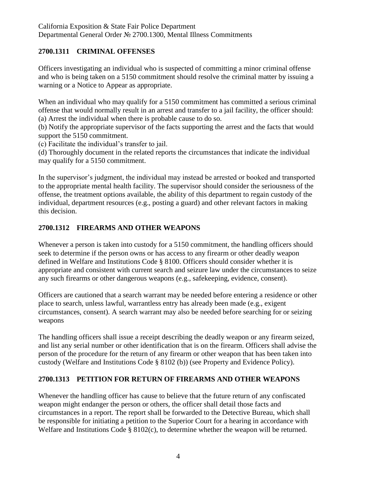#### **2700.1311 CRIMINAL OFFENSES**

Officers investigating an individual who is suspected of committing a minor criminal offense and who is being taken on a 5150 commitment should resolve the criminal matter by issuing a warning or a Notice to Appear as appropriate.

When an individual who may qualify for a 5150 commitment has committed a serious criminal offense that would normally result in an arrest and transfer to a jail facility, the officer should: (a) Arrest the individual when there is probable cause to do so.

(b) Notify the appropriate supervisor of the facts supporting the arrest and the facts that would support the 5150 commitment.

(c) Facilitate the individual's transfer to jail.

(d) Thoroughly document in the related reports the circumstances that indicate the individual may qualify for a 5150 commitment.

In the supervisor's judgment, the individual may instead be arrested or booked and transported to the appropriate mental health facility. The supervisor should consider the seriousness of the offense, the treatment options available, the ability of this department to regain custody of the individual, department resources (e.g., posting a guard) and other relevant factors in making this decision.

# **2700.1312 FIREARMS AND OTHER WEAPONS**

Whenever a person is taken into custody for a 5150 commitment, the handling officers should seek to determine if the person owns or has access to any firearm or other deadly weapon defined in Welfare and Institutions Code § 8100. Officers should consider whether it is appropriate and consistent with current search and seizure law under the circumstances to seize any such firearms or other dangerous weapons (e.g., safekeeping, evidence, consent).

Officers are cautioned that a search warrant may be needed before entering a residence or other place to search, unless lawful, warrantless entry has already been made (e.g., exigent circumstances, consent). A search warrant may also be needed before searching for or seizing weapons

The handling officers shall issue a receipt describing the deadly weapon or any firearm seized, and list any serial number or other identification that is on the firearm. Officers shall advise the person of the procedure for the return of any firearm or other weapon that has been taken into custody (Welfare and Institutions Code § 8102 (b)) (see Property and Evidence Policy).

#### **2700.1313 PETITION FOR RETURN OF FIREARMS AND OTHER WEAPONS**

Whenever the handling officer has cause to believe that the future return of any confiscated weapon might endanger the person or others, the officer shall detail those facts and circumstances in a report. The report shall be forwarded to the Detective Bureau, which shall be responsible for initiating a petition to the Superior Court for a hearing in accordance with Welfare and Institutions Code § 8102(c), to determine whether the weapon will be returned.